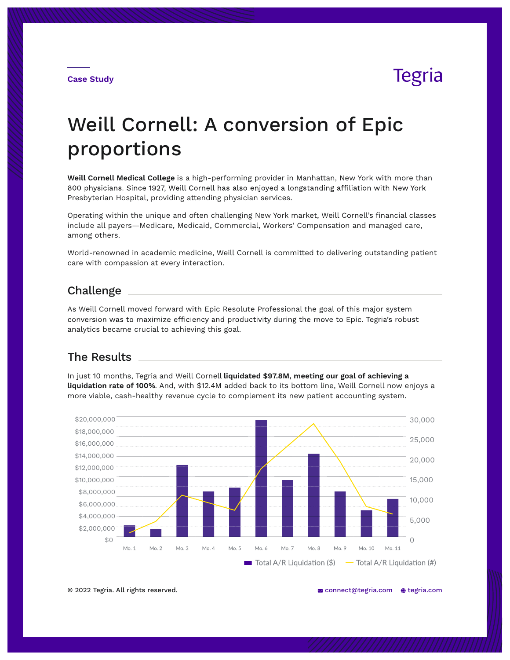**Case Study**

## **Tegria**

# Weill Cornell: A conversion of Epic proportions

**Weill Cornell Medical College** is a high-performing provider in Manhattan, New York with more than 800 physicians. Since 1927, Weill Cornell has also enjoyed a longstanding affiliation with New York Presbyterian Hospital, providing attending physician services.

Operating within the unique and often challenging New York market, Weill Cornell's financial classes include all payers—Medicare, Medicaid, Commercial, Workers' Compensation and managed care, among others.

World-renowned in academic medicine, Weill Cornell is committed to delivering outstanding patient care with compassion at every interaction.

### Challenge

As Weill Cornell moved forward with Epic Resolute Professional the goal of this major system conversion was to maximize efficiency and productivity during the move to Epic. Tegria's robust analytics became crucial to achieving this goal.

### The Results

In just 10 months, Tegria and Weill Cornell **liquidated \$97.8M, meeting our goal of achieving a liquidation rate of 100%**. And, with \$12.4M added back to its bottom line, Weill Cornell now enjoys a more viable, cash-healthy revenue cycle to complement its new patient accounting system.



© 2022 Tegria. All rights reserved.  $\blacksquare$  connect@tegria.com  $\spadesuit$  tegria.com